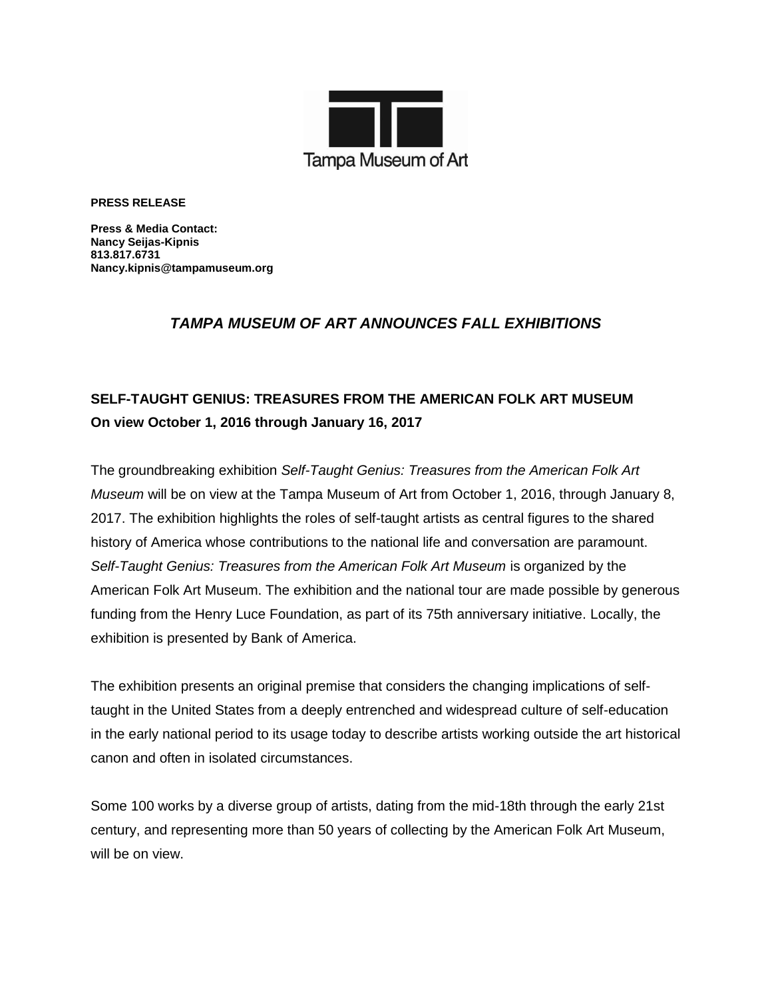

**PRESS RELEASE**

**Press & Media Contact: Nancy Seijas-Kipnis 813.817.6731 Nancy.kipnis@tampamuseum.org**

### *TAMPA MUSEUM OF ART ANNOUNCES FALL EXHIBITIONS*

## **SELF-TAUGHT GENIUS: TREASURES FROM THE AMERICAN FOLK ART MUSEUM On view October 1, 2016 through January 16, 2017**

The groundbreaking exhibition *Self-Taught Genius: Treasures from the American Folk Art Museum* will be on view at the Tampa Museum of Art from October 1, 2016, through January 8, 2017. The exhibition highlights the roles of self-taught artists as central figures to the shared history of America whose contributions to the national life and conversation are paramount. *Self-Taught Genius: Treasures from the American Folk Art Museum* is organized by the American Folk Art Museum. The exhibition and the national tour are made possible by generous funding from the Henry Luce Foundation, as part of its 75th anniversary initiative. Locally, the exhibition is presented by Bank of America.

The exhibition presents an original premise that considers the changing implications of selftaught in the United States from a deeply entrenched and widespread culture of self-education in the early national period to its usage today to describe artists working outside the art historical canon and often in isolated circumstances.

Some 100 works by a diverse group of artists, dating from the mid-18th through the early 21st century, and representing more than 50 years of collecting by the American Folk Art Museum, will be on view.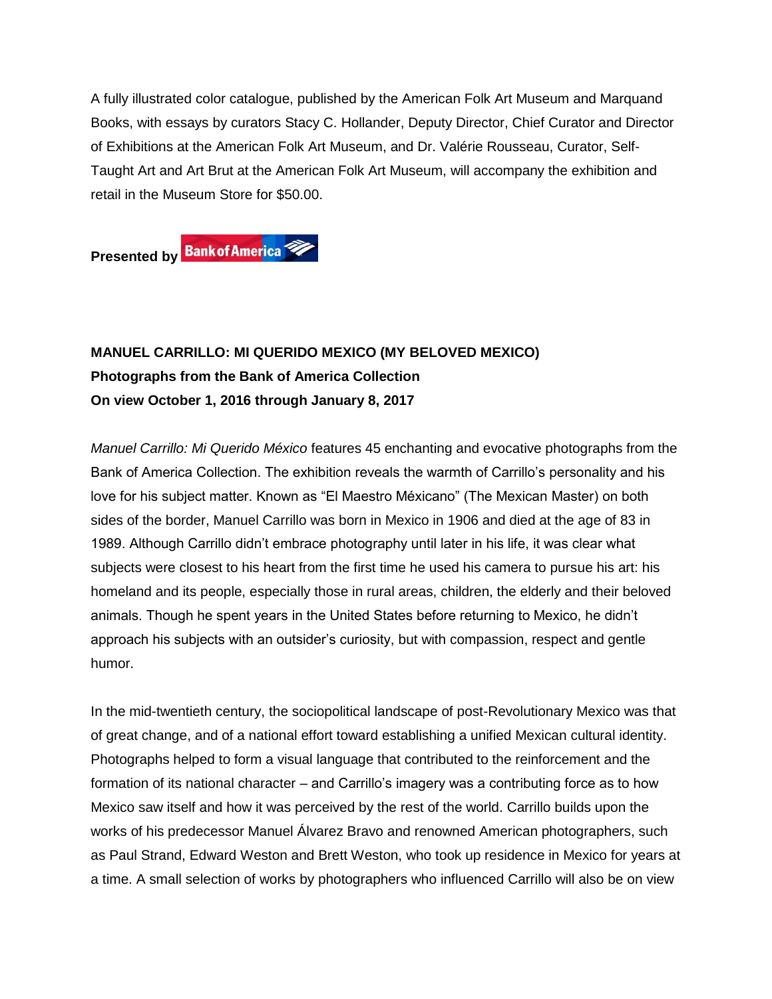A fully illustrated color catalogue, published by the American Folk Art Museum and Marquand Books, with essays by curators Stacy C. Hollander, Deputy Director, Chief Curator and Director of Exhibitions at the American Folk Art Museum, and Dr. Valérie Rousseau, Curator, Self-Taught Art and Art Brut at the American Folk Art Museum, will accompany the exhibition and retail in the Museum Store for \$50.00.

**Presented by Bank of America** 

## **MANUEL CARRILLO: MI QUERIDO MEXICO (MY BELOVED MEXICO) Photographs from the Bank of America Collection On view October 1, 2016 through January 8, 2017**

*Manuel Carrillo: Mi Querido México* features 45 enchanting and evocative photographs from the Bank of America Collection. The exhibition reveals the warmth of Carrillo's personality and his love for his subject matter. Known as "El Maestro Méxicano" (The Mexican Master) on both sides of the border, Manuel Carrillo was born in Mexico in 1906 and died at the age of 83 in 1989. Although Carrillo didn't embrace photography until later in his life, it was clear what subjects were closest to his heart from the first time he used his camera to pursue his art: his homeland and its people, especially those in rural areas, children, the elderly and their beloved animals. Though he spent years in the United States before returning to Mexico, he didn't approach his subjects with an outsider's curiosity, but with compassion, respect and gentle humor.

In the mid-twentieth century, the sociopolitical landscape of post-Revolutionary Mexico was that of great change, and of a national effort toward establishing a unified Mexican cultural identity. Photographs helped to form a visual language that contributed to the reinforcement and the formation of its national character – and Carrillo's imagery was a contributing force as to how Mexico saw itself and how it was perceived by the rest of the world. Carrillo builds upon the works of his predecessor Manuel Álvarez Bravo and renowned American photographers, such as Paul Strand, Edward Weston and Brett Weston, who took up residence in Mexico for years at a time. A small selection of works by photographers who influenced Carrillo will also be on view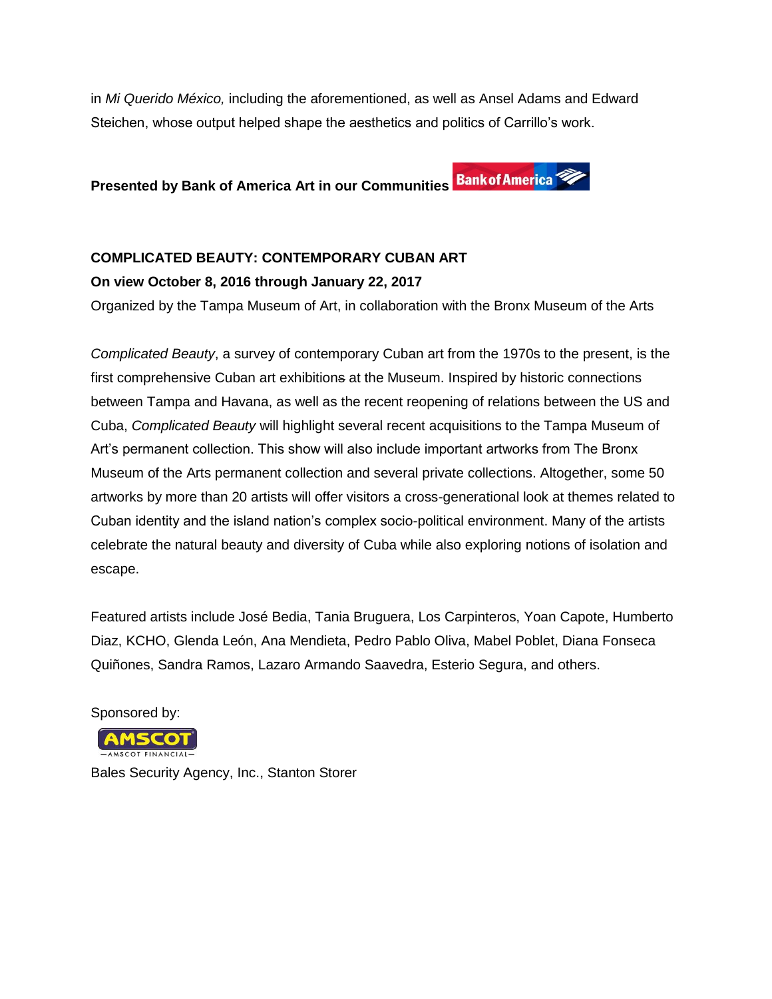in *Mi Querido México,* including the aforementioned, as well as Ansel Adams and Edward Steichen, whose output helped shape the aesthetics and politics of Carrillo's work.

**Presented by Bank of America Art in our Communities** 

# **COMPLICATED BEAUTY: CONTEMPORARY CUBAN ART**

### **On view October 8, 2016 through January 22, 2017**

Organized by the Tampa Museum of Art, in collaboration with the Bronx Museum of the Arts

*Complicated Beauty*, a survey of contemporary Cuban art from the 1970s to the present, is the first comprehensive Cuban art exhibitions at the Museum. Inspired by historic connections between Tampa and Havana, as well as the recent reopening of relations between the US and Cuba, *Complicated Beauty* will highlight several recent acquisitions to the Tampa Museum of Art's permanent collection. This show will also include important artworks from The Bronx Museum of the Arts permanent collection and several private collections. Altogether, some 50 artworks by more than 20 artists will offer visitors a cross-generational look at themes related to Cuban identity and the island nation's complex socio-political environment. Many of the artists celebrate the natural beauty and diversity of Cuba while also exploring notions of isolation and escape.

Featured artists include José Bedia, Tania Bruguera, Los Carpinteros, Yoan Capote, Humberto Diaz, KCHO, Glenda León, Ana Mendieta, Pedro Pablo Oliva, Mabel Poblet, Diana Fonseca Quiñones, Sandra Ramos, Lazaro Armando Saavedra, Esterio Segura, and others.

Sponsored by:



Bales Security Agency, Inc., Stanton Storer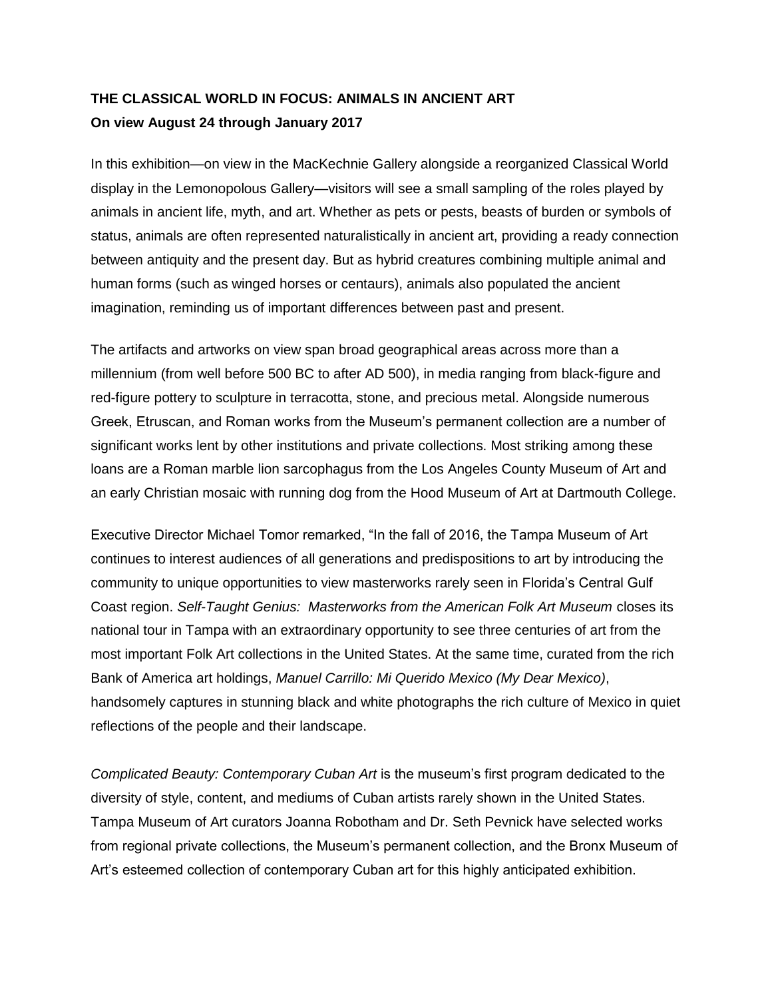## **THE CLASSICAL WORLD IN FOCUS: ANIMALS IN ANCIENT ART On view August 24 through January 2017**

In this exhibition—on view in the MacKechnie Gallery alongside a reorganized Classical World display in the Lemonopolous Gallery—visitors will see a small sampling of the roles played by animals in ancient life, myth, and art. Whether as pets or pests, beasts of burden or symbols of status, animals are often represented naturalistically in ancient art, providing a ready connection between antiquity and the present day. But as hybrid creatures combining multiple animal and human forms (such as winged horses or centaurs), animals also populated the ancient imagination, reminding us of important differences between past and present.

The artifacts and artworks on view span broad geographical areas across more than a millennium (from well before 500 BC to after AD 500), in media ranging from black-figure and red-figure pottery to sculpture in terracotta, stone, and precious metal. Alongside numerous Greek, Etruscan, and Roman works from the Museum's permanent collection are a number of significant works lent by other institutions and private collections. Most striking among these loans are a Roman marble lion sarcophagus from the Los Angeles County Museum of Art and an early Christian mosaic with running dog from the Hood Museum of Art at Dartmouth College.

Executive Director Michael Tomor remarked, "In the fall of 2016, the Tampa Museum of Art continues to interest audiences of all generations and predispositions to art by introducing the community to unique opportunities to view masterworks rarely seen in Florida's Central Gulf Coast region. *Self-Taught Genius: Masterworks from the American Folk Art Museum* closes its national tour in Tampa with an extraordinary opportunity to see three centuries of art from the most important Folk Art collections in the United States. At the same time, curated from the rich Bank of America art holdings, *Manuel Carrillo: Mi Querido Mexico (My Dear Mexico)*, handsomely captures in stunning black and white photographs the rich culture of Mexico in quiet reflections of the people and their landscape.

*Complicated Beauty: Contemporary Cuban Art* is the museum's first program dedicated to the diversity of style, content, and mediums of Cuban artists rarely shown in the United States. Tampa Museum of Art curators Joanna Robotham and Dr. Seth Pevnick have selected works from regional private collections, the Museum's permanent collection, and the Bronx Museum of Art's esteemed collection of contemporary Cuban art for this highly anticipated exhibition.